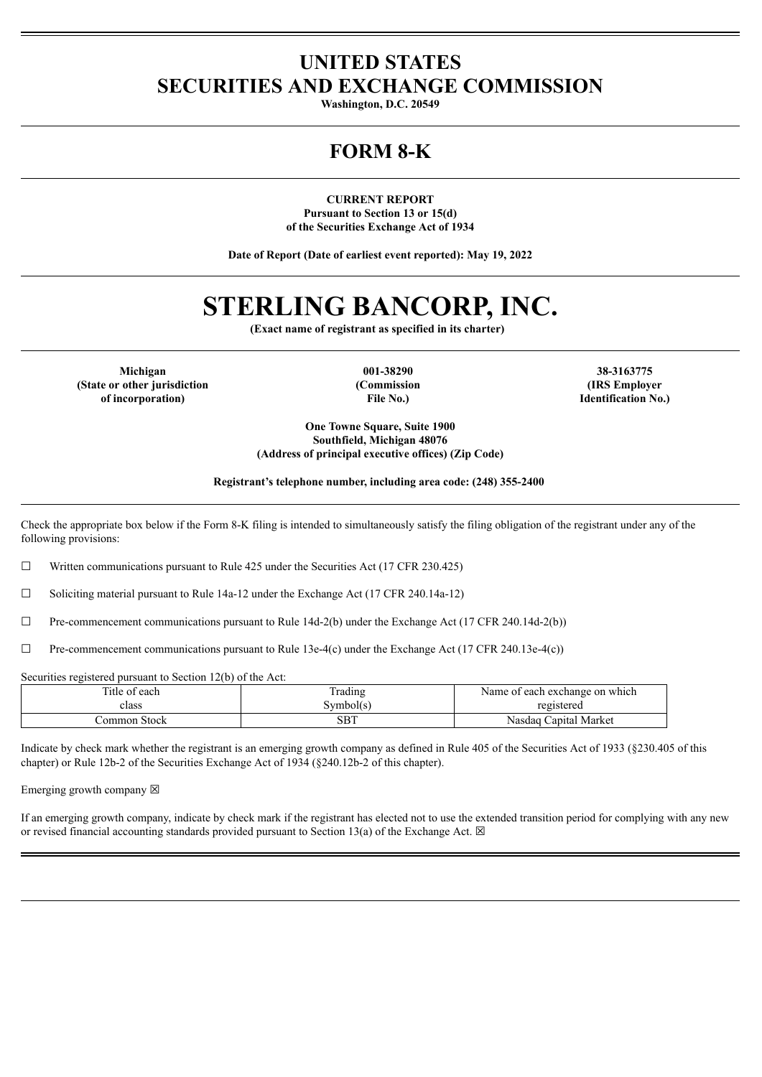### **UNITED STATES SECURITIES AND EXCHANGE COMMISSION**

**Washington, D.C. 20549**

## **FORM 8-K**

**CURRENT REPORT Pursuant to Section 13 or 15(d) of the Securities Exchange Act of 1934**

**Date of Report (Date of earliest event reported): May 19, 2022**

# **STERLING BANCORP, INC.**

**(Exact name of registrant as specified in its charter)**

**(State or other jurisdiction of incorporation)**

**(Commission File No.)**

**Michigan 001-38290 38-3163775 (IRS Employer Identification No.)**

> **One Towne Square, Suite 1900 Southfield, Michigan 48076 (Address of principal executive offices) (Zip Code)**

**Registrant's telephone number, including area code: (248) 355-2400**

Check the appropriate box below if the Form 8-K filing is intended to simultaneously satisfy the filing obligation of the registrant under any of the following provisions:

☐ Written communications pursuant to Rule 425 under the Securities Act (17 CFR 230.425)

☐ Soliciting material pursuant to Rule 14a-12 under the Exchange Act (17 CFR 240.14a-12)

 $\Box$  Pre-commencement communications pursuant to Rule 14d-2(b) under the Exchange Act (17 CFR 240.14d-2(b))

 $\Box$  Pre-commencement communications pursuant to Rule 13e-4(c) under the Exchange Act (17 CFR 240.13e-4(c))

Securities registered pursuant to Section 12(b) of the Act:

| Title of each | Trading   | Name of each exchange on which |
|---------------|-----------|--------------------------------|
| riass         | symbol(s) | registered                     |
| Common Stock  | SBT       | Nasdaq Capital Market          |

Indicate by check mark whether the registrant is an emerging growth company as defined in Rule 405 of the Securities Act of 1933 (§230.405 of this chapter) or Rule 12b-2 of the Securities Exchange Act of 1934 (§240.12b-2 of this chapter).

Emerging growth company  $\boxtimes$ 

If an emerging growth company, indicate by check mark if the registrant has elected not to use the extended transition period for complying with any new or revised financial accounting standards provided pursuant to Section 13(a) of the Exchange Act.  $\boxtimes$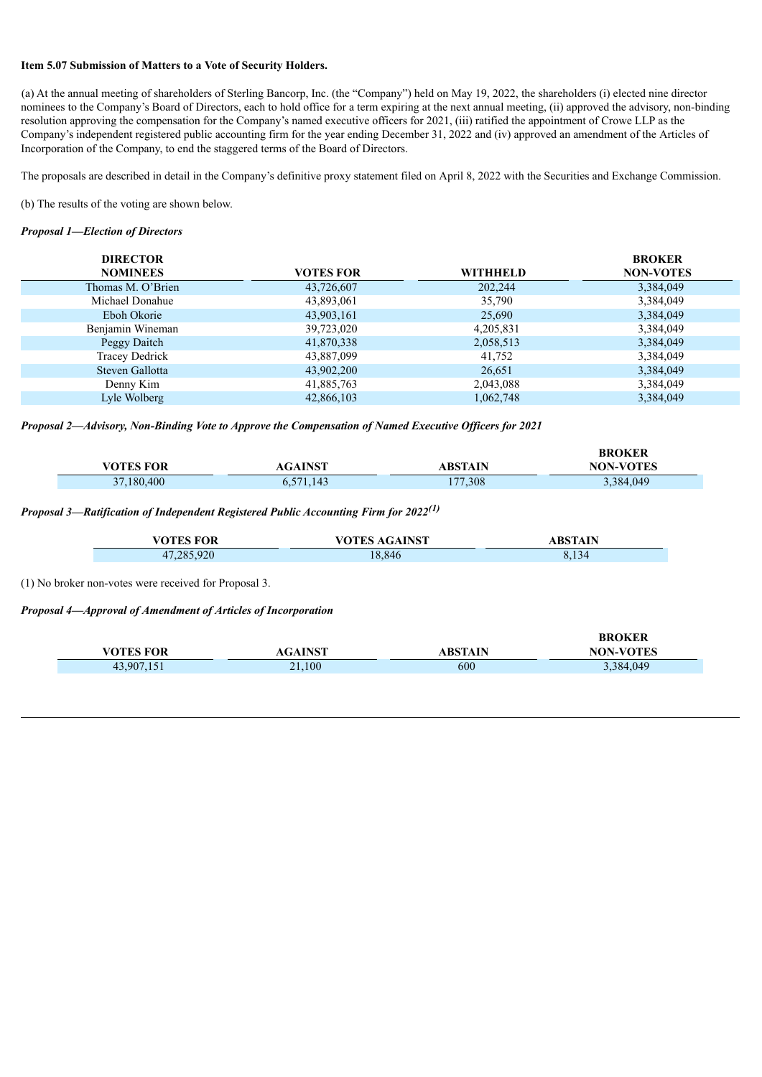#### **Item 5.07 Submission of Matters to a Vote of Security Holders.**

(a) At the annual meeting of shareholders of Sterling Bancorp, Inc. (the "Company") held on May 19, 2022, the shareholders (i) elected nine director nominees to the Company's Board of Directors, each to hold office for a term expiring at the next annual meeting, (ii) approved the advisory, non-binding resolution approving the compensation for the Company's named executive officers for 2021, (iii) ratified the appointment of Crowe LLP as the Company's independent registered public accounting firm for the year ending December 31, 2022 and (iv) approved an amendment of the Articles of Incorporation of the Company, to end the staggered terms of the Board of Directors.

The proposals are described in detail in the Company's definitive proxy statement filed on April 8, 2022 with the Securities and Exchange Commission.

(b) The results of the voting are shown below.

#### *Proposal 1—Election of Directors*

| <b>DIRECTOR</b>   |                  |           | <b>BROKER</b>    |
|-------------------|------------------|-----------|------------------|
| <b>NOMINEES</b>   | <b>VOTES FOR</b> | WITHHELD  | <b>NON-VOTES</b> |
| Thomas M. O'Brien | 43,726,607       | 202,244   | 3,384,049        |
| Michael Donahue   | 43,893,061       | 35,790    | 3,384,049        |
| Eboh Okorie       | 43,903,161       | 25,690    | 3,384,049        |
| Benjamin Wineman  | 39,723,020       | 4,205,831 | 3,384,049        |
| Peggy Daitch      | 41,870,338       | 2,058,513 | 3,384,049        |
| Tracey Dedrick    | 43,887,099       | 41,752    | 3,384,049        |
| Steven Gallotta   | 43,902,200       | 26,651    | 3,384,049        |
| Denny Kim         | 41,885,763       | 2,043,088 | 3,384,049        |
| Lyle Wolberg      | 42,866,103       | 1,062,748 | 3,384,049        |

*Proposal 2—Advisory, Non-Binding Vote to Approve the Compensation of Named Executive Of icers for 2021*

|            |                 |         | <b>BROKER</b>    |
|------------|-----------------|---------|------------------|
| VOTES FOR  | <b>AGAINST</b>  | ABSTAIN | <b>NON-VOTES</b> |
| 37,180,400 | 571,143<br>U.J. | 177,308 | 3,384,049        |

#### *Proposal 3—Ratification of Independent Registered Public Accounting Firm for 2022 (1)*

| <b>VOTES FOR</b> | VOTES AGAINST | <b>ABSTAIN</b> |
|------------------|---------------|----------------|
| 47,285,920       | 18.846        | 8,134          |

(1) No broker non-votes were received for Proposal 3.

*Proposal 4—Approval of Amendment of Articles of Incorporation*

|            |                |         | <b>BROKER</b>    |
|------------|----------------|---------|------------------|
| VOTES FOR  | AGAINST        | ABSTAIN | <b>NON-VOTES</b> |
| 43,907,151 | $\angle 1,100$ | 600     | 3,384,049        |